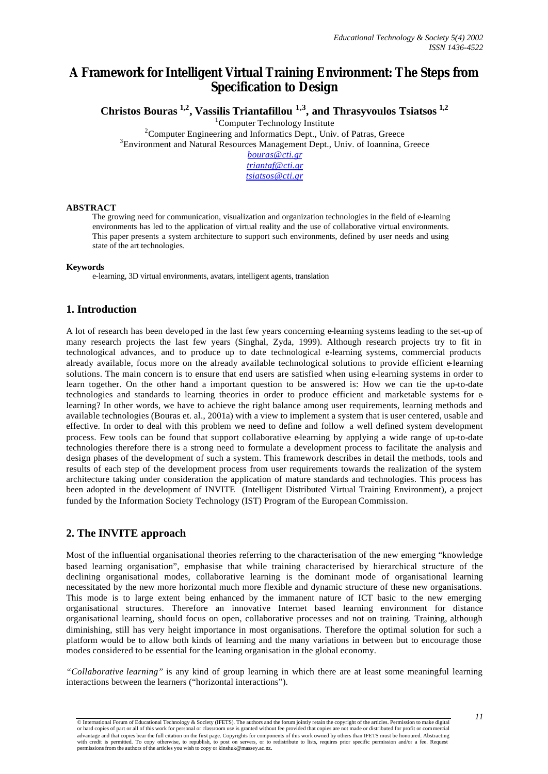# **A Framework for Intelligent Virtual Training Environment: The Steps from Specification to Design**

**Christos Bouras 1,2, Vassilis Triantafillou 1,3, and Thrasyvoulos Tsiatsos 1,2**

<sup>1</sup>Computer Technology Institute

 $2^2$ Computer Engineering and Informatics Dept., Univ. of Patras, Greece <sup>3</sup>Environment and Natural Resources Management Dept., Univ. of Ioannina, Greece

*bouras@cti.gr triantaf@cti.gr tsiatsos@cti.gr*

#### **ABSTRACT**

The growing need for communication, visualization and organization technologies in the field of e-learning environments has led to the application of virtual reality and the use of collaborative virtual environments. This paper presents a system architecture to support such environments, defined by user needs and using state of the art technologies.

#### **Keywords**

e-learning, 3D virtual environments, avatars, intelligent agents, translation

### **1. Introduction**

A lot of research has been developed in the last few years concerning e-learning systems leading to the set-up of many research projects the last few years (Singhal, Zyda, 1999). Although research projects try to fit in technological advances, and to produce up to date technological e-learning systems, commercial products already available, focus more on the already available technological solutions to provide efficient e-learning solutions. The main concern is to ensure that end users are satisfied when using e-learning systems in order to learn together. On the other hand a important question to be answered is: How we can tie the up-to-date technologies and standards to learning theories in order to produce efficient and marketable systems for elearning? In other words, we have to achieve the right balance among user requirements, learning methods and available technologies (Bouras et. al., 2001a) with a view to implement a system that is user centered, usable and effective. In order to deal with this problem we need to define and follow a well defined system development process. Few tools can be found that support collaborative e-learning by applying a wide range of up-to-date technologies therefore there is a strong need to formulate a development process to facilitate the analysis and design phases of the development of such a system. This framework describes in detail the methods, tools and results of each step of the development process from user requirements towards the realization of the system architecture taking under consideration the application of mature standards and technologies. This process has been adopted in the development of INVITE (Intelligent Distributed Virtual Training Environment), a project funded by the Information Society Technology (IST) Program of the European Commission.

# **2. The INVITE approach**

Most of the influential organisational theories referring to the characterisation of the new emerging "knowledge based learning organisation", emphasise that while training characterised by hierarchical structure of the declining organisational modes, collaborative learning is the dominant mode of organisational learning necessitated by the new more horizontal much more flexible and dynamic structure of these new organisations. This mode is to large extent being enhanced by the immanent nature of ICT basic to the new emerging organisational structures. Therefore an innovative Internet based learning environment for distance organisational learning, should focus on open, collaborative processes and not on training. Training, although diminishing, still has very height importance in most organisations. Therefore the optimal solution for such a platform would be to allow both kinds of learning and the many variations in between but to encourage those modes considered to be essential for the leaning organisation in the global economy.

*"Collaborative learning"* is any kind of group learning in which there are at least some meaningful learning interactions between the learners ("horizontal interactions").

<sup>©</sup> International Forum of Educational Technology & Society (IFETS). The authors and the forum jointly retain the copyright of the articles. Permission to make digital or hard copies of part or all of this work for personal or classroom use is granted without fee provided that copies are not made or distributed for profit or commercial<br>advantage and that copies bear the full citation on with credit is permitted. To copy otherwise, to republish, to post on servers, or to redistribute to lists, requires prior specific permission and/or a fee. Request<br>permissions from the authors of the articles you wish to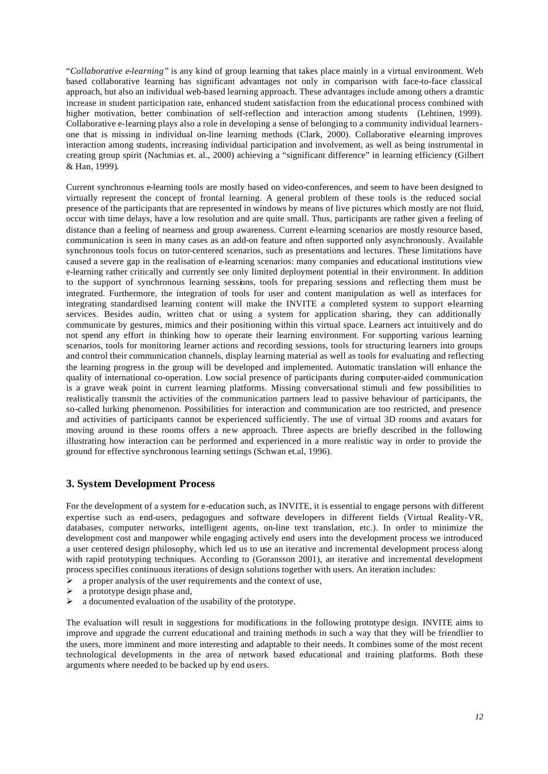"*Collaborative e-learning"* is any kind of group learning that takes place mainly in a virtual environment. Web based collaborative learning has significant advantages not only in comparison with face-to-face classical approach, but also an individual web-based learning approach. These advantages include among others a dramtic increase in student participation rate, enhanced student satisfaction from the educational process combined with higher motivation, better combination of self-reflection and interaction among students (Lehtinen, 1999). Collaborative e-learning plays also a role in developing a sense of belonging to a community individual learnersone that is missing in individual on-line learning methods (Clark, 2000). Collaborative elearning improves interaction among students, increasing individual participation and involvement, as well as being instrumental in creating group spirit (Nachmias et. al., 2000) achieving a "significant difference" in learning efficiency (Gilbert & Han, 1999).

Current synchronous e-learning tools are mostly based on video-conferences, and seem to have been designed to virtually represent the concept of frontal learning. A general problem of these tools is the reduced social presence of the participants that are represented in windows by means of live pictures which mostly are not fluid, occur with time delays, have a low resolution and are quite small. Thus, participants are rather given a feeling of distance than a feeling of nearness and group awareness. Current e-learning scenarios are mostly resource based, communication is seen in many cases as an add-on feature and often supported only asynchronously. Available synchronous tools focus on tutor-centered scenarios, such as presentations and lectures. These limitations have caused a severe gap in the realisation of e-learning scenarios: many companies and educational institutions view e-learning rather critically and currently see only limited deployment potential in their environment. In addition to the support of synchronous learning sessions, tools for preparing sessions and reflecting them must be integrated. Furthermore, the integration of tools for user and content manipulation as well as interfaces for integrating standardised learning content will make the INVITE a completed system to support elearning services. Besides audio, written chat or using a system for application sharing, they can additionally communicate by gestures, mimics and their positioning within this virtual space. Learners act intuitively and do not spend any effort in thinking how to operate their learning environment. For supporting various learning scenarios, tools for monitoring learner actions and recording sessions, tools for structuring learners into groups and control their communication channels, display learning material as well as tools for evaluating and reflecting the learning progress in the group will be developed and implemented. Automatic translation will enhance the quality of international co-operation. Low social presence of participants during computer-aided communication is a grave weak point in current learning platforms. Missing conversational stimuli and few possibilities to realistically transmit the activities of the communication partners lead to passive behaviour of participants, the so-called lurking phenomenon. Possibilities for interaction and communication are too restricted, and presence and activities of participants cannot be experienced sufficiently. The use of virtual 3D rooms and avatars for moving around in these rooms offers a new approach. Three aspects are briefly described in the following illustrating how interaction can be performed and experienced in a more realistic way in order to provide the ground for effective synchronous learning settings (Schwan et.al, 1996).

# **3. System Development Process**

For the development of a system for e-education such, as INVITE, it is essential to engage persons with different expertise such as end-users, pedagogues and software developers in different fields (Virtual Reality-VR, databases, computer networks, intelligent agents, on-line text translation, etc.). In order to minimize the development cost and manpower while engaging actively end users into the development process we introduced a user centered design philosophy, which led us to use an iterative and incremental development process along with rapid prototyping techniques. According to (Goransson 2001), an iterative and incremental development process specifies continuous iterations of design solutions together with users. An iteration includes:

- $\triangleright$  a proper analysis of the user requirements and the context of use,
- a prototype design phase and,
- $\triangleright$  a documented evaluation of the usability of the prototype.

The evaluation will result in suggestions for modifications in the following prototype design. INVITE aims to improve and upgrade the current educational and training methods in such a way that they will be friendlier to the users, more imminent and more interesting and adaptable to their needs. It combines some of the most recent technological developments in the area of network based educational and training platforms. Both these arguments where needed to be backed up by end users.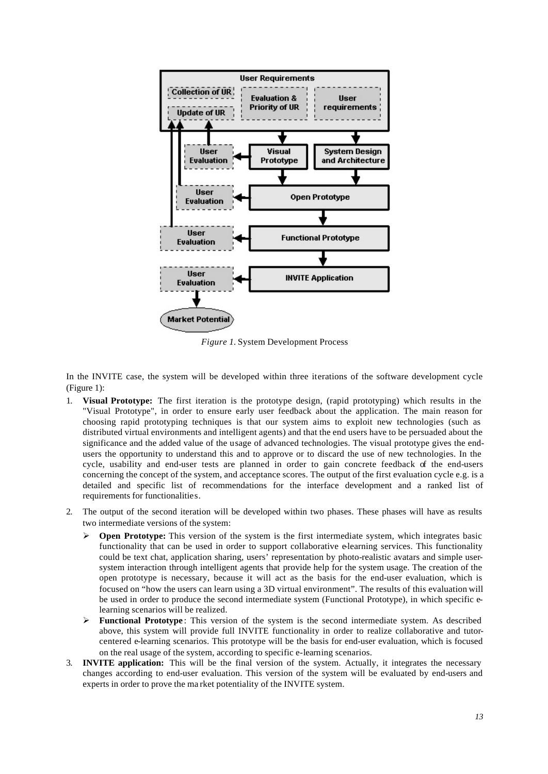

*Figure 1.* System Development Process

In the INVITE case, the system will be developed within three iterations of the software development cycle (Figure 1):

- 1. **Visual Prototype:** The first iteration is the prototype design, (rapid prototyping) which results in the "Visual Prototype", in order to ensure early user feedback about the application. The main reason for choosing rapid prototyping techniques is that our system aims to exploit new technologies (such as distributed virtual environments and intelligent agents) and that the end users have to be persuaded about the significance and the added value of the usage of advanced technologies. The visual prototype gives the endusers the opportunity to understand this and to approve or to discard the use of new technologies. In the cycle, usability and end-user tests are planned in order to gain concrete feedback of the end-users concerning the concept of the system, and acceptance scores. The output of the first evaluation cycle e.g. is a detailed and specific list of recommendations for the interface development and a ranked list of requirements for functionalities.
- 2. The output of the second iteration will be developed within two phases. These phases will have as results two intermediate versions of the system:
	- **Open Prototype:** This version of the system is the first intermediate system, which integrates basic functionality that can be used in order to support collaborative e-learning services. This functionality could be text chat, application sharing, users' representation by photo-realistic avatars and simple usersystem interaction through intelligent agents that provide help for the system usage. The creation of the open prototype is necessary, because it will act as the basis for the end-user evaluation, which is focused on "how the users can learn using a 3D virtual environment". The results of this evaluation will be used in order to produce the second intermediate system (Functional Prototype), in which specific elearning scenarios will be realized.
	- **►** Functional Prototype: This version of the system is the second intermediate system. As described above, this system will provide full INVITE functionality in order to realize collaborative and tutorcentered e-learning scenarios. This prototype will be the basis for end-user evaluation, which is focused on the real usage of the system, according to specific e-learning scenarios.
- 3. **INVITE application:** This will be the final version of the system. Actually, it integrates the necessary changes according to end-user evaluation. This version of the system will be evaluated by end-users and experts in order to prove the ma rket potentiality of the INVITE system.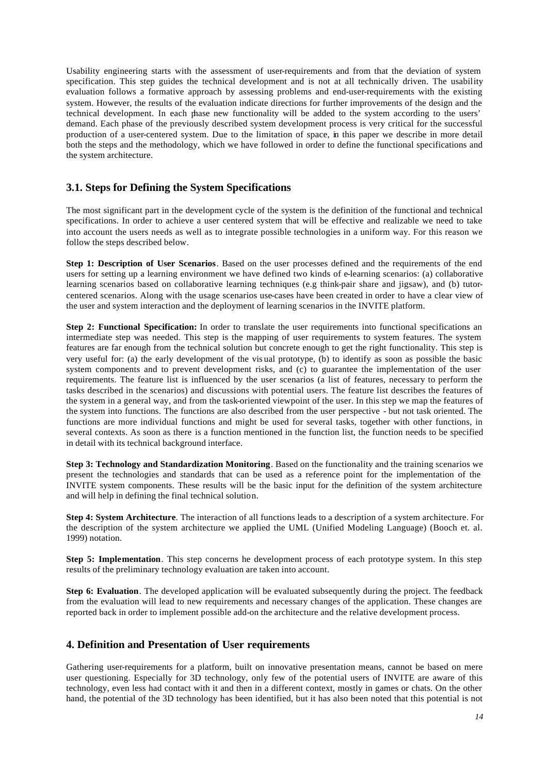Usability engineering starts with the assessment of user-requirements and from that the deviation of system specification. This step guides the technical development and is not at all technically driven. The usability evaluation follows a formative approach by assessing problems and end-user-requirements with the existing system. However, the results of the evaluation indicate directions for further improvements of the design and the technical development. In each phase new functionality will be added to the system according to the users' demand. Each phase of the previously described system development process is very critical for the successful production of a user-centered system. Due to the limitation of space, in this paper we describe in more detail both the steps and the methodology, which we have followed in order to define the functional specifications and the system architecture.

### **3.1. Steps for Defining the System Specifications**

The most significant part in the development cycle of the system is the definition of the functional and technical specifications. In order to achieve a user centered system that will be effective and realizable we need to take into account the users needs as well as to integrate possible technologies in a uniform way. For this reason we follow the steps described below.

**Step 1: Description of User Scenarios**. Based on the user processes defined and the requirements of the end users for setting up a learning environment we have defined two kinds of e-learning scenarios: (a) collaborative learning scenarios based on collaborative learning techniques (e.g think-pair share and jigsaw), and (b) tutorcentered scenarios. Along with the usage scenarios use-cases have been created in order to have a clear view of the user and system interaction and the deployment of learning scenarios in the INVITE platform.

**Step 2: Functional Specification:** In order to translate the user requirements into functional specifications an intermediate step was needed. This step is the mapping of user requirements to system features. The system features are far enough from the technical solution but concrete enough to get the right functionality. This step is very useful for: (a) the early development of the vis ual prototype, (b) to identify as soon as possible the basic system components and to prevent development risks, and (c) to guarantee the implementation of the user requirements. The feature list is influenced by the user scenarios (a list of features, necessary to perform the tasks described in the scenarios) and discussions with potential users. The feature list describes the features of the system in a general way, and from the task-oriented viewpoint of the user. In this step we map the features of the system into functions. The functions are also described from the user perspective - but not task oriented. The functions are more individual functions and might be used for several tasks, together with other functions, in several contexts. As soon as there is a function mentioned in the function list, the function needs to be specified in detail with its technical background interface.

**Step 3: Technology and Standardization Monitoring**. Based on the functionality and the training scenarios we present the technologies and standards that can be used as a reference point for the implementation of the INVITE system components. These results will be the basic input for the definition of the system architecture and will help in defining the final technical solution.

**Step 4: System Architecture**. The interaction of all functions leads to a description of a system architecture. For the description of the system architecture we applied the UML (Unified Modeling Language) (Booch et. al. 1999) notation.

**Step 5: Implementation**. This step concerns he development process of each prototype system. In this step results of the preliminary technology evaluation are taken into account.

**Step 6: Evaluation**. The developed application will be evaluated subsequently during the project. The feedback from the evaluation will lead to new requirements and necessary changes of the application. These changes are reported back in order to implement possible add-on the architecture and the relative development process.

### **4. Definition and Presentation of User requirements**

Gathering user-requirements for a platform, built on innovative presentation means, cannot be based on mere user questioning. Especially for 3D technology, only few of the potential users of INVITE are aware of this technology, even less had contact with it and then in a different context, mostly in games or chats. On the other hand, the potential of the 3D technology has been identified, but it has also been noted that this potential is not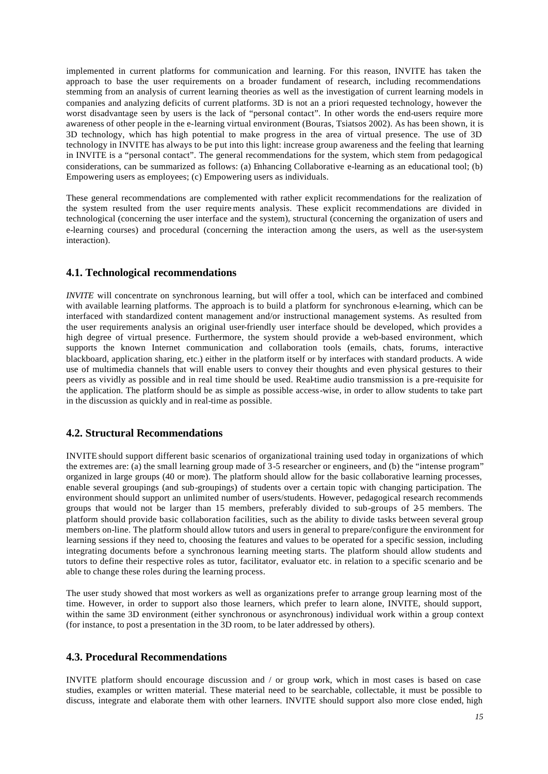implemented in current platforms for communication and learning. For this reason, INVITE has taken the approach to base the user requirements on a broader fundament of research, including recommendations stemming from an analysis of current learning theories as well as the investigation of current learning models in companies and analyzing deficits of current platforms. 3D is not an a priori requested technology, however the worst disadvantage seen by users is the lack of "personal contact". In other words the end-users require more awareness of other people in the e-learning virtual environment (Bouras, Tsiatsos 2002). As has been shown, it is 3D technology, which has high potential to make progress in the area of virtual presence. The use of 3D technology in INVITE has always to be put into this light: increase group awareness and the feeling that learning in INVITE is a "personal contact". The general recommendations for the system, which stem from pedagogical considerations, can be summarized as follows: (a) Enhancing Collaborative e-learning as an educational tool; (b) Empowering users as employees; (c) Empowering users as individuals.

These general recommendations are complemented with rather explicit recommendations for the realization of the system resulted from the user require ments analysis. These explicit recommendations are divided in technological (concerning the user interface and the system), structural (concerning the organization of users and e-learning courses) and procedural (concerning the interaction among the users, as well as the user-system interaction).

## **4.1. Technological recommendations**

*INVITE* will concentrate on synchronous learning, but will offer a tool, which can be interfaced and combined with available learning platforms. The approach is to build a platform for synchronous e-learning, which can be interfaced with standardized content management and/or instructional management systems. As resulted from the user requirements analysis an original user-friendly user interface should be developed, which provides a high degree of virtual presence. Furthermore, the system should provide a web-based environment, which supports the known Internet communication and collaboration tools (emails, chats, forums, interactive blackboard, application sharing, etc.) either in the platform itself or by interfaces with standard products. A wide use of multimedia channels that will enable users to convey their thoughts and even physical gestures to their peers as vividly as possible and in real time should be used. Real-time audio transmission is a pre-requisite for the application. The platform should be as simple as possible access-wise, in order to allow students to take part in the discussion as quickly and in real-time as possible.

# **4.2. Structural Recommendations**

INVITE should support different basic scenarios of organizational training used today in organizations of which the extremes are: (a) the small learning group made of 3-5 researcher or engineers, and (b) the "intense program" organized in large groups (40 or more). The platform should allow for the basic collaborative learning processes, enable several groupings (and sub-groupings) of students over a certain topic with changing participation. The environment should support an unlimited number of users/students. However, pedagogical research recommends groups that would not be larger than 15 members, preferably divided to sub-groups of 2-5 members. The platform should provide basic collaboration facilities, such as the ability to divide tasks between several group members on-line. The platform should allow tutors and users in general to prepare/configure the environment for learning sessions if they need to, choosing the features and values to be operated for a specific session, including integrating documents before a synchronous learning meeting starts. The platform should allow students and tutors to define their respective roles as tutor, facilitator, evaluator etc. in relation to a specific scenario and be able to change these roles during the learning process.

The user study showed that most workers as well as organizations prefer to arrange group learning most of the time. However, in order to support also those learners, which prefer to learn alone, INVITE, should support, within the same 3D environment (either synchronous or asynchronous) individual work within a group context (for instance, to post a presentation in the 3D room, to be later addressed by others).

### **4.3. Procedural Recommendations**

INVITE platform should encourage discussion and / or group work, which in most cases is based on case studies, examples or written material. These material need to be searchable, collectable, it must be possible to discuss, integrate and elaborate them with other learners. INVITE should support also more close ended, high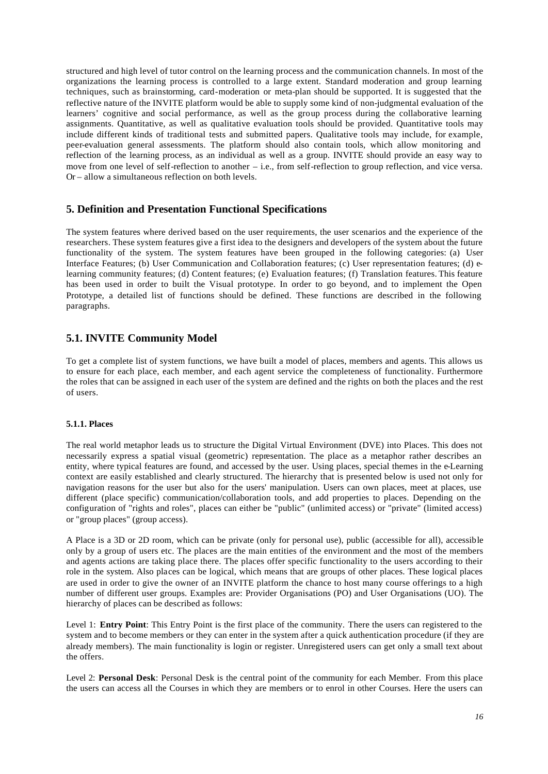structured and high level of tutor control on the learning process and the communication channels. In most of the organizations the learning process is controlled to a large extent. Standard moderation and group learning techniques, such as brainstorming, card-moderation or meta-plan should be supported. It is suggested that the reflective nature of the INVITE platform would be able to supply some kind of non-judgmental evaluation of the learners' cognitive and social performance, as well as the group process during the collaborative learning assignments. Quantitative, as well as qualitative evaluation tools should be provided. Quantitative tools may include different kinds of traditional tests and submitted papers. Qualitative tools may include, for example, peer-evaluation general assessments. The platform should also contain tools, which allow monitoring and reflection of the learning process, as an individual as well as a group. INVITE should provide an easy way to move from one level of self-reflection to another – i.e., from self-reflection to group reflection, and vice versa. Or – allow a simultaneous reflection on both levels.

### **5. Definition and Presentation Functional Specifications**

The system features where derived based on the user requirements, the user scenarios and the experience of the researchers. These system features give a first idea to the designers and developers of the system about the future functionality of the system. The system features have been grouped in the following categories: (a) User Interface Features; (b) User Communication and Collaboration features; (c) User representation features; (d) elearning community features; (d) Content features; (e) Evaluation features; (f) Translation features. This feature has been used in order to built the Visual prototype. In order to go beyond, and to implement the Open Prototype, a detailed list of functions should be defined. These functions are described in the following paragraphs.

## **5.1. INVITE Community Model**

To get a complete list of system functions, we have built a model of places, members and agents. This allows us to ensure for each place, each member, and each agent service the completeness of functionality. Furthermore the roles that can be assigned in each user of the system are defined and the rights on both the places and the rest of users.

#### **5.1.1. Places**

The real world metaphor leads us to structure the Digital Virtual Environment (DVE) into Places. This does not necessarily express a spatial visual (geometric) representation. The place as a metaphor rather describes an entity, where typical features are found, and accessed by the user. Using places, special themes in the e-Learning context are easily established and clearly structured. The hierarchy that is presented below is used not only for navigation reasons for the user but also for the users' manipulation. Users can own places, meet at places, use different (place specific) communication/collaboration tools, and add properties to places. Depending on the configuration of "rights and roles", places can either be "public" (unlimited access) or "private" (limited access) or "group places" (group access).

A Place is a 3D or 2D room, which can be private (only for personal use), public (accessible for all), accessible only by a group of users etc. The places are the main entities of the environment and the most of the members and agents actions are taking place there. The places offer specific functionality to the users according to their role in the system. Also places can be logical, which means that are groups of other places. These logical places are used in order to give the owner of an INVITE platform the chance to host many course offerings to a high number of different user groups. Examples are: Provider Organisations (PO) and User Organisations (UO). The hierarchy of places can be described as follows:

Level 1: **Entry Point**: This Entry Point is the first place of the community. There the users can registered to the system and to become members or they can enter in the system after a quick authentication procedure (if they are already members). The main functionality is login or register. Unregistered users can get only a small text about the offers.

Level 2: **Personal Desk**: Personal Desk is the central point of the community for each Member. From this place the users can access all the Courses in which they are members or to enrol in other Courses. Here the users can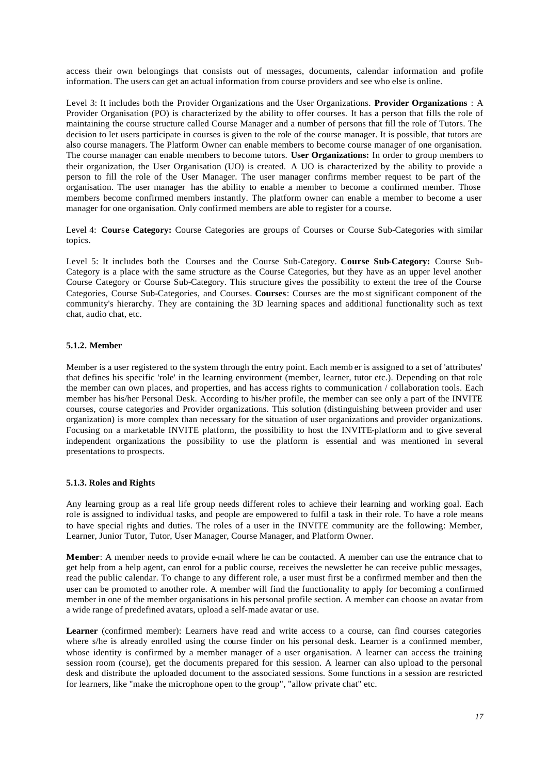access their own belongings that consists out of messages, documents, calendar information and profile information. The users can get an actual information from course providers and see who else is online.

Level 3: It includes both the Provider Organizations and the User Organizations. **Provider Organizations** : A Provider Organisation (PO) is characterized by the ability to offer courses. It has a person that fills the role of maintaining the course structure called Course Manager and a number of persons that fill the role of Tutors. The decision to let users participate in courses is given to the role of the course manager. It is possible, that tutors are also course managers. The Platform Owner can enable members to become course manager of one organisation. The course manager can enable members to become tutors. **User Organizations:** In order to group members to their organization, the User Organisation (UO) is created. A UO is characterized by the ability to provide a person to fill the role of the User Manager. The user manager confirms member request to be part of the organisation. The user manager has the ability to enable a member to become a confirmed member. Those members become confirmed members instantly. The platform owner can enable a member to become a user manager for one organisation. Only confirmed members are able to register for a course.

Level 4: **Cour**s**e Category:** Course Categories are groups of Courses or Course Sub-Categories with similar topics.

Level 5: It includes both the Courses and the Course Sub-Category. **Course Sub-Category:** Course Sub-Category is a place with the same structure as the Course Categories, but they have as an upper level another Course Category or Course Sub-Category. This structure gives the possibility to extent the tree of the Course Categories, Course Sub-Categories, and Courses. **Courses**: Courses are the mo st significant component of the community's hierarchy. They are containing the 3D learning spaces and additional functionality such as text chat, audio chat, etc.

#### **5.1.2. Member**

Member is a user registered to the system through the entry point. Each memb er is assigned to a set of 'attributes' that defines his specific 'role' in the learning environment (member, learner, tutor etc.). Depending on that role the member can own places, and properties, and has access rights to communication / collaboration tools. Each member has his/her Personal Desk. According to his/her profile, the member can see only a part of the INVITE courses, course categories and Provider organizations. This solution (distinguishing between provider and user organization) is more complex than necessary for the situation of user organizations and provider organizations. Focusing on a marketable INVITE platform, the possibility to host the INVITE-platform and to give several independent organizations the possibility to use the platform is essential and was mentioned in several presentations to prospects.

#### **5.1.3. Roles and Rights**

Any learning group as a real life group needs different roles to achieve their learning and working goal. Each role is assigned to individual tasks, and people are empowered to fulfil a task in their role. To have a role means to have special rights and duties. The roles of a user in the INVITE community are the following: Member, Learner, Junior Tutor, Tutor, User Manager, Course Manager, and Platform Owner.

**Member**: A member needs to provide e-mail where he can be contacted. A member can use the entrance chat to get help from a help agent, can enrol for a public course, receives the newsletter he can receive public messages, read the public calendar. To change to any different role, a user must first be a confirmed member and then the user can be promoted to another role. A member will find the functionality to apply for becoming a confirmed member in one of the member organisations in his personal profile section. A member can choose an avatar from a wide range of predefined avatars, upload a self-made avatar or use.

**Learner** (confirmed member): Learners have read and write access to a course, can find courses categories where s/he is already enrolled using the course finder on his personal desk. Learner is a confirmed member, whose identity is confirmed by a member manager of a user organisation. A learner can access the training session room (course), get the documents prepared for this session. A learner can also upload to the personal desk and distribute the uploaded document to the associated sessions. Some functions in a session are restricted for learners, like "make the microphone open to the group", "allow private chat" etc.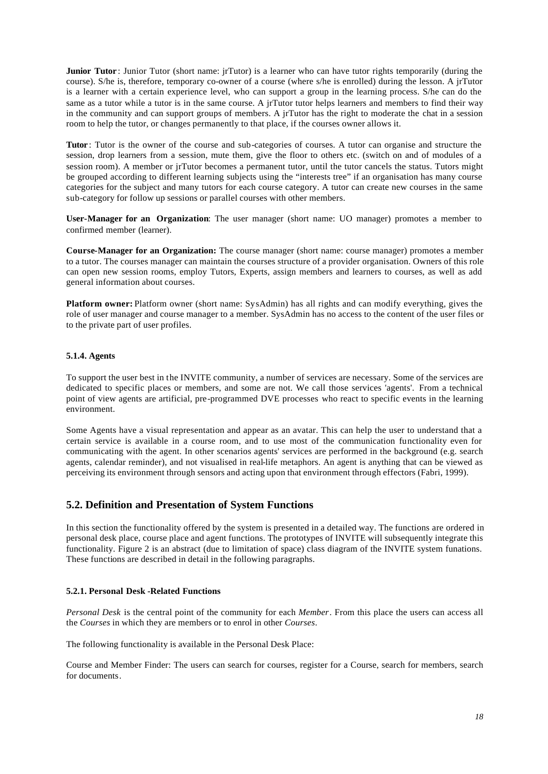**Junior Tutor**: Junior Tutor (short name: jrTutor) is a learner who can have tutor rights temporarily (during the course). S/he is, therefore, temporary co-owner of a course (where s/he is enrolled) during the lesson. A jrTutor is a learner with a certain experience level, who can support a group in the learning process. S/he can do the same as a tutor while a tutor is in the same course. A jrTutor tutor helps learners and members to find their way in the community and can support groups of members. A jrTutor has the right to moderate the chat in a session room to help the tutor, or changes permanently to that place, if the courses owner allows it.

**Tutor** : Tutor is the owner of the course and sub-categories of courses. A tutor can organise and structure the session, drop learners from a session, mute them, give the floor to others etc. (switch on and of modules of a session room). A member or jrTutor becomes a permanent tutor, until the tutor cancels the status. Tutors might be grouped according to different learning subjects using the "interests tree" if an organisation has many course categories for the subject and many tutors for each course category. A tutor can create new courses in the same sub-category for follow up sessions or parallel courses with other members.

**User-Manager for an Organization**: The user manager (short name: UO manager) promotes a member to confirmed member (learner).

**Course-Manager for an Organization:** The course manager (short name: course manager) promotes a member to a tutor. The courses manager can maintain the courses structure of a provider organisation. Owners of this role can open new session rooms, employ Tutors, Experts, assign members and learners to courses, as well as add general information about courses.

**Platform owner:** Platform owner (short name: SysAdmin) has all rights and can modify everything, gives the role of user manager and course manager to a member. SysAdmin has no access to the content of the user files or to the private part of user profiles.

#### **5.1.4. Agents**

To support the user best in the INVITE community, a number of services are necessary. Some of the services are dedicated to specific places or members, and some are not. We call those services 'agents'. From a technical point of view agents are artificial, pre-programmed DVE processes who react to specific events in the learning environment.

Some Agents have a visual representation and appear as an avatar. This can help the user to understand that a certain service is available in a course room, and to use most of the communication functionality even for communicating with the agent. In other scenarios agents' services are performed in the background (e.g. search agents, calendar reminder), and not visualised in real-life metaphors. An agent is anything that can be viewed as perceiving its environment through sensors and acting upon that environment through effectors (Fabri, 1999).

# **5.2. Definition and Presentation of System Functions**

In this section the functionality offered by the system is presented in a detailed way. The functions are ordered in personal desk place, course place and agent functions. The prototypes of INVITE will subsequently integrate this functionality. Figure 2 is an abstract (due to limitation of space) class diagram of the INVITE system funations. These functions are described in detail in the following paragraphs.

#### **5.2.1. Personal Desk -Related Functions**

*Personal Desk* is the central point of the community for each *Member*. From this place the users can access all the *Courses* in which they are members or to enrol in other *Courses*.

The following functionality is available in the Personal Desk Place:

Course and Member Finder: The users can search for courses, register for a Course, search for members, search for documents.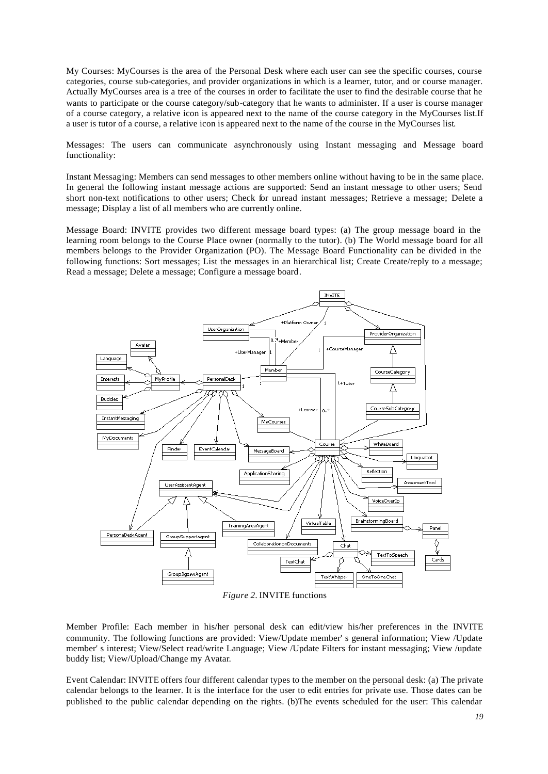My Courses: MyCourses is the area of the Personal Desk where each user can see the specific courses, course categories, course sub-categories, and provider organizations in which is a learner, tutor, and or course manager. Actually MyCourses area is a tree of the courses in order to facilitate the user to find the desirable course that he wants to participate or the course category/sub-category that he wants to administer. If a user is course manager of a course category, a relative icon is appeared next to the name of the course category in the MyCourses list.If a user is tutor of a course, a relative icon is appeared next to the name of the course in the MyCourses list.

Messages: The users can communicate asynchronously using Instant messaging and Message board functionality:

Instant Messaging: Members can send messages to other members online without having to be in the same place. In general the following instant message actions are supported: Send an instant message to other users; Send short non-text notifications to other users; Check for unread instant messages; Retrieve a message; Delete a message; Display a list of all members who are currently online.

Message Board: INVITE provides two different message board types: (a) The group message board in the learning room belongs to the Course Place owner (normally to the tutor). (b) The World message board for all members belongs to the Provider Organization (PO). The Message Board Functionality can be divided in the following functions: Sort messages; List the messages in an hierarchical list; Create Create/reply to a message; Read a message; Delete a message; Configure a message board.



*Figure 2.* INVITE functions

Member Profile: Each member in his/her personal desk can edit/view his/her preferences in the INVITE community. The following functions are provided: View/Update member' s general information; View /Update member' s interest; View/Select read/write Language; View /Update Filters for instant messaging; View /update buddy list; View/Upload/Change my Avatar.

Event Calendar: INVITE offers four different calendar types to the member on the personal desk: (a) The private calendar belongs to the learner. It is the interface for the user to edit entries for private use. Those dates can be published to the public calendar depending on the rights. (b)The events scheduled for the user: This calendar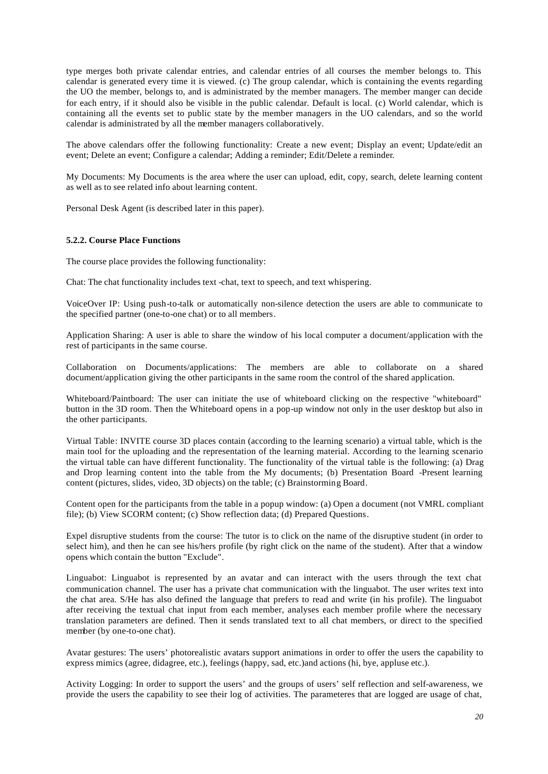type merges both private calendar entries, and calendar entries of all courses the member belongs to. This calendar is generated every time it is viewed. (c) The group calendar, which is containing the events regarding the UO the member, belongs to, and is administrated by the member managers. The member manger can decide for each entry, if it should also be visible in the public calendar. Default is local. (c) World calendar, which is containing all the events set to public state by the member managers in the UO calendars, and so the world calendar is administrated by all the member managers collaboratively.

The above calendars offer the following functionality: Create a new event; Display an event; Update/edit an event; Delete an event; Configure a calendar; Adding a reminder; Edit/Delete a reminder.

My Documents: My Documents is the area where the user can upload, edit, copy, search, delete learning content as well as to see related info about learning content.

Personal Desk Agent (is described later in this paper).

#### **5.2.2. Course Place Functions**

The course place provides the following functionality:

Chat: The chat functionality includes text -chat, text to speech, and text whispering.

VoiceOver IP: Using push-to-talk or automatically non-silence detection the users are able to communicate to the specified partner (one-to-one chat) or to all members.

Application Sharing: A user is able to share the window of his local computer a document/application with the rest of participants in the same course.

Collaboration on Documents/applications: The members are able to collaborate on a shared document/application giving the other participants in the same room the control of the shared application.

Whiteboard/Paintboard: The user can initiate the use of whiteboard clicking on the respective "whiteboard" button in the 3D room. Then the Whiteboard opens in a pop-up window not only in the user desktop but also in the other participants.

Virtual Table: INVITE course 3D places contain (according to the learning scenario) a virtual table, which is the main tool for the uploading and the representation of the learning material. According to the learning scenario the virtual table can have different functionality. The functionality of the virtual table is the following: (a) Drag and Drop learning content into the table from the My documents; (b) Presentation Board -Present learning content (pictures, slides, video, 3D objects) on the table; (c) Brainstorming Board.

Content open for the participants from the table in a popup window: (a) Open a document (not VMRL compliant file); (b) View SCORM content; (c) Show reflection data; (d) Prepared Questions.

Expel disruptive students from the course: The tutor is to click on the name of the disruptive student (in order to select him), and then he can see his/hers profile (by right click on the name of the student). After that a window opens which contain the button "Exclude".

Linguabot: Linguabot is represented by an avatar and can interact with the users through the text chat communication channel. The user has a private chat communication with the linguabot. The user writes text into the chat area. S/He has also defined the language that prefers to read and write (in his profile). The linguabot after receiving the textual chat input from each member, analyses each member profile where the necessary translation parameters are defined. Then it sends translated text to all chat members, or direct to the specified member (by one-to-one chat).

Avatar gestures: The users' photorealistic avatars support animations in order to offer the users the capability to express mimics (agree, didagree, etc.), feelings (happy, sad, etc.)and actions (hi, bye, appluse etc.).

Activity Logging: In order to support the users' and the groups of users' self reflection and self-awareness, we provide the users the capability to see their log of activities. The parameteres that are logged are usage of chat,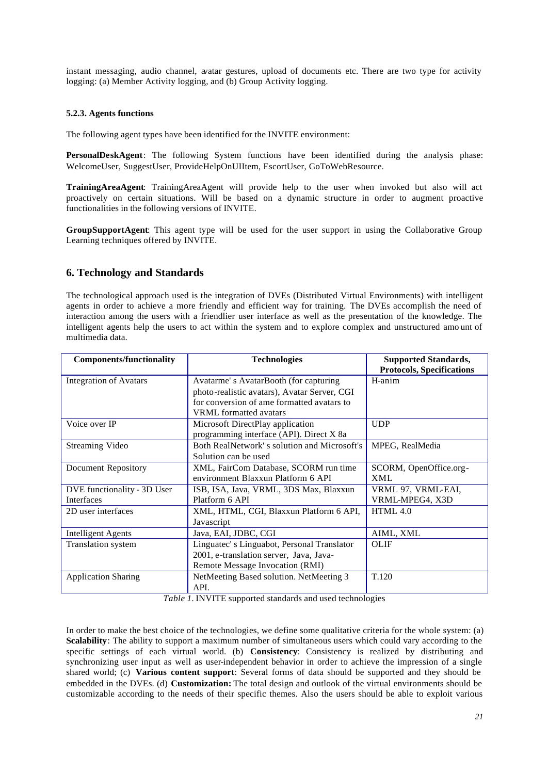instant messaging, audio channel, avatar gestures, upload of documents etc. There are two type for activity logging: (a) Member Activity logging, and (b) Group Activity logging.

#### **5.2.3. Agents functions**

The following agent types have been identified for the INVITE environment:

**PersonalDeskAgent**: The following System functions have been identified during the analysis phase: WelcomeUser, SuggestUser, ProvideHelpOnUIItem, EscortUser, GoToWebResource.

**TrainingAreaAgent**: TrainingAreaAgent will provide help to the user when invoked but also will act proactively on certain situations. Will be based on a dynamic structure in order to augment proactive functionalities in the following versions of INVITE.

**GroupSupportAgent**: This agent type will be used for the user support in using the Collaborative Group Learning techniques offered by INVITE.

## **6. Technology and Standards**

The technological approach used is the integration of DVEs (Distributed Virtual Environments) with intelligent agents in order to achieve a more friendly and efficient way for training. The DVEs accomplish the need of interaction among the users with a friendlier user interface as well as the presentation of the knowledge. The intelligent agents help the users to act within the system and to explore complex and unstructured amo unt of multimedia data.

| <b>Components/functionality</b> | <b>Technologies</b>                          | <b>Supported Standards,</b>      |
|---------------------------------|----------------------------------------------|----------------------------------|
|                                 |                                              | <b>Protocols, Specifications</b> |
| <b>Integration of Avatars</b>   | Avatarme's AvatarBooth (for capturing        | H-anim                           |
|                                 | photo-realistic avatars), Avatar Server, CGI |                                  |
|                                 | for conversion of ame formatted avatars to   |                                  |
|                                 | <b>VRML</b> formatted avatars                |                                  |
| Voice over IP                   | Microsoft DirectPlay application             | <b>UDP</b>                       |
|                                 | programming interface (API). Direct X 8a     |                                  |
| Streaming Video                 | Both RealNetwork's solution and Microsoft's  | MPEG, RealMedia                  |
|                                 | Solution can be used                         |                                  |
| <b>Document Repository</b>      | XML, FairCom Database, SCORM run time        | SCORM, OpenOffice.org-           |
|                                 | environment Blaxxun Platform 6 API           | XML                              |
| DVE functionality - 3D User     | ISB, ISA, Java, VRML, 3DS Max, Blaxxun       | VRML 97. VRML-EAI.               |
| Interfaces                      | Platform 6 API                               | VRML-MPEG4, X3D                  |
| 2D user interfaces              | XML, HTML, CGI, Blaxxun Platform 6 API,      | HTML 4.0                         |
|                                 | Javascript                                   |                                  |
| <b>Intelligent Agents</b>       | Java, EAI, JDBC, CGI                         | AIML, XML                        |
| <b>Translation</b> system       | Linguatec's Linguabot, Personal Translator   | <b>OLIF</b>                      |
|                                 | 2001, e-translation server, Java, Java-      |                                  |
|                                 | Remote Message Invocation (RMI)              |                                  |
| <b>Application Sharing</b>      | NetMeeting Based solution. NetMeeting 3      | T.120                            |
|                                 | API.                                         |                                  |

*Table 1.* INVITE supported standards and used technologies

In order to make the best choice of the technologies, we define some qualitative criteria for the whole system: (a) **Scalability**: The ability to support a maximum number of simultaneous users which could vary according to the specific settings of each virtual world. (b) **Consistency**: Consistency is realized by distributing and synchronizing user input as well as user-independent behavior in order to achieve the impression of a single shared world; (c) **Various content support**: Several forms of data should be supported and they should be embedded in the DVEs. (d) **Customization:** The total design and outlook of the virtual environments should be customizable according to the needs of their specific themes. Also the users should be able to exploit various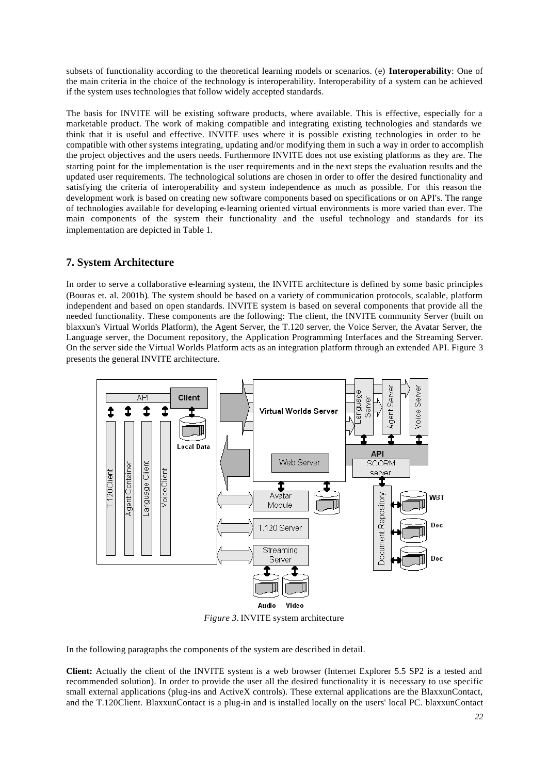subsets of functionality according to the theoretical learning models or scenarios. (e) **Interoperability**: One of the main criteria in the choice of the technology is interoperability. Interoperability of a system can be achieved if the system uses technologies that follow widely accepted standards.

The basis for INVITE will be existing software products, where available. This is effective, especially for a marketable product. The work of making compatible and integrating existing technologies and standards we think that it is useful and effective. INVITE uses where it is possible existing technologies in order to be compatible with other systems integrating, updating and/or modifying them in such a way in order to accomplish the project objectives and the users needs. Furthermore INVITE does not use existing platforms as they are. The starting point for the implementation is the user requirements and in the next steps the evaluation results and the updated user requirements. The technological solutions are chosen in order to offer the desired functionality and satisfying the criteria of interoperability and system independence as much as possible. For this reason the development work is based on creating new software components based on specifications or on API's. The range of technologies available for developing e-learning oriented virtual environments is more varied than ever. The main components of the system their functionality and the useful technology and standards for its implementation are depicted in Table 1.

# **7. System Architecture**

In order to serve a collaborative e-learning system, the INVITE architecture is defined by some basic principles (Bouras et. al. 2001b). The system should be based on a variety of communication protocols, scalable, platform independent and based on open standards. INVITE system is based on several components that provide all the needed functionality. These components are the following: The client, the INVITE community Server (built on blaxxun's Virtual Worlds Platform), the Agent Server, the T.120 server, the Voice Server, the Avatar Server, the Language server, the Document repository, the Application Programming Interfaces and the Streaming Server. On the server side the Virtual Worlds Platform acts as an integration platform through an extended API. Figure 3 presents the general INVITE architecture.



*Figure 3.* INVITE system architecture

In the following paragraphs the components of the system are described in detail.

**Client:** Actually the client of the INVITE system is a web browser (Internet Explorer 5.5 SP2 is a tested and recommended solution). In order to provide the user all the desired functionality it is necessary to use specific small external applications (plug-ins and ActiveX controls). These external applications are the BlaxxunContact, and the T.120Client. BlaxxunContact is a plug-in and is installed locally on the users' local PC. blaxxunContact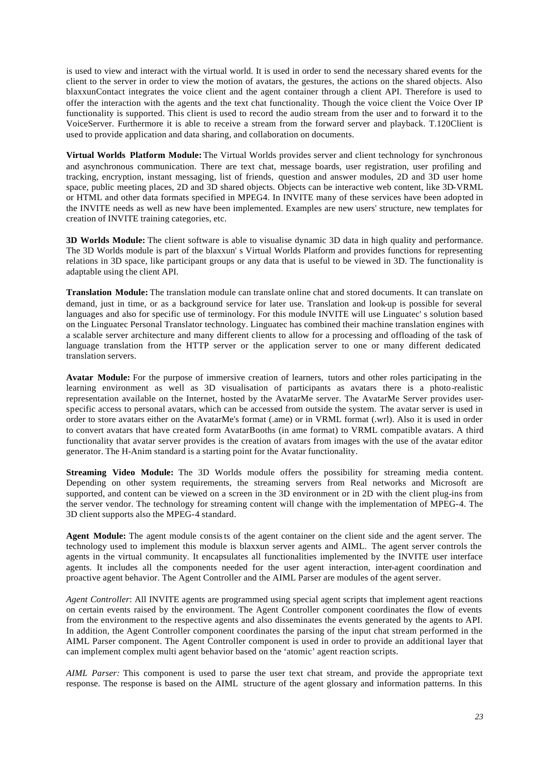is used to view and interact with the virtual world. It is used in order to send the necessary shared events for the client to the server in order to view the motion of avatars, the gestures, the actions on the shared objects. Also blaxxunContact integrates the voice client and the agent container through a client API. Therefore is used to offer the interaction with the agents and the text chat functionality. Though the voice client the Voice Over IP functionality is supported. This client is used to record the audio stream from the user and to forward it to the VoiceServer. Furthermore it is able to receive a stream from the forward server and playback. T.120Client is used to provide application and data sharing, and collaboration on documents.

**Virtual Worlds Platform Module:** The Virtual Worlds provides server and client technology for synchronous and asynchronous communication. There are text chat, message boards, user registration, user profiling and tracking, encryption, instant messaging, list of friends, question and answer modules, 2D and 3D user home space, public meeting places, 2D and 3D shared objects. Objects can be interactive web content, like 3D-VRML or HTML and other data formats specified in MPEG4. In INVITE many of these services have been adopted in the INVITE needs as well as new have been implemented. Examples are new users' structure, new templates for creation of INVITE training categories, etc.

**3D Worlds Module:** The client software is able to visualise dynamic 3D data in high quality and performance. The 3D Worlds module is part of the blaxxun' s Virtual Worlds Platform and provides functions for representing relations in 3D space, like participant groups or any data that is useful to be viewed in 3D. The functionality is adaptable using the client API.

**Translation Module:** The translation module can translate online chat and stored documents. It can translate on demand, just in time, or as a background service for later use. Translation and look-up is possible for several languages and also for specific use of terminology. For this module INVITE will use Linguatec' s solution based on the Linguatec Personal Translator technology. Linguatec has combined their machine translation engines with a scalable server architecture and many different clients to allow for a processing and offloading of the task of language translation from the HTTP server or the application server to one or many different dedicated translation servers.

**Avatar Module:** For the purpose of immersive creation of learners, tutors and other roles participating in the learning environment as well as 3D visualisation of participants as avatars there is a photo-realistic representation available on the Internet, hosted by the AvatarMe server. The AvatarMe Server provides userspecific access to personal avatars, which can be accessed from outside the system. The avatar server is used in order to store avatars either on the AvatarMe's format (.ame) or in VRML format (.wrl). Also it is used in order to convert avatars that have created form AvatarBooths (in ame format) to VRML compatible avatars. A third functionality that avatar server provides is the creation of avatars from images with the use of the avatar editor generator. The H-Anim standard is a starting point for the Avatar functionality.

**Streaming Video Module:** The 3D Worlds module offers the possibility for streaming media content. Depending on other system requirements, the streaming servers from Real networks and Microsoft are supported, and content can be viewed on a screen in the 3D environment or in 2D with the client plug-ins from the server vendor. The technology for streaming content will change with the implementation of MPEG-4. The 3D client supports also the MPEG-4 standard.

**Agent Module:** The agent module consists of the agent container on the client side and the agent server. The technology used to implement this module is blaxxun server agents and AIML. The agent server controls the agents in the virtual community. It encapsulates all functionalities implemented by the INVITE user interface agents. It includes all the components needed for the user agent interaction, inter-agent coordination and proactive agent behavior. The Agent Controller and the AIML Parser are modules of the agent server.

*Agent Controller*: All INVITE agents are programmed using special agent scripts that implement agent reactions on certain events raised by the environment. The Agent Controller component coordinates the flow of events from the environment to the respective agents and also disseminates the events generated by the agents to API. In addition, the Agent Controller component coordinates the parsing of the input chat stream performed in the AIML Parser component. The Agent Controller component is used in order to provide an additional layer that can implement complex multi agent behavior based on the 'atomic' agent reaction scripts.

*AIML Parser:* This component is used to parse the user text chat stream, and provide the appropriate text response. The response is based on the AIML structure of the agent glossary and information patterns. In this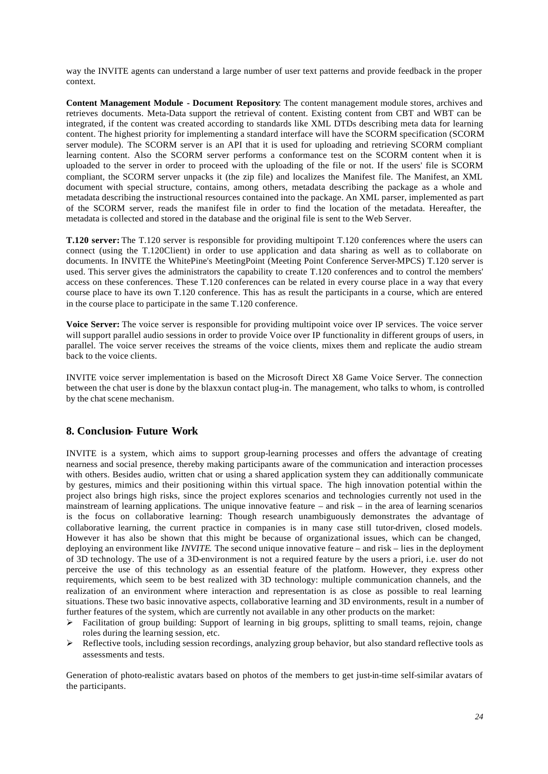way the INVITE agents can understand a large number of user text patterns and provide feedback in the proper context.

**Content Management Module - Document Repository**: The content management module stores, archives and retrieves documents. Meta-Data support the retrieval of content. Existing content from CBT and WBT can be integrated, if the content was created according to standards like XML DTDs describing meta data for learning content. The highest priority for implementing a standard interface will have the SCORM specification (SCORM server module). The SCORM server is an API that it is used for uploading and retrieving SCORM compliant learning content. Also the SCORM server performs a conformance test on the SCORM content when it is uploaded to the server in order to proceed with the uploading of the file or not. If the users' file is SCORM compliant, the SCORM server unpacks it (the zip file) and localizes the Manifest file. The Manifest, an XML document with special structure, contains, among others, metadata describing the package as a whole and metadata describing the instructional resources contained into the package. An XML parser, implemented as part of the SCORM server, reads the manifest file in order to find the location of the metadata. Hereafter, the metadata is collected and stored in the database and the original file is sent to the Web Server.

**T.120 server:** The T.120 server is responsible for providing multipoint T.120 conferences where the users can connect (using the T.120Client) in order to use application and data sharing as well as to collaborate on documents. In INVITE the WhitePine's MeetingPoint (Meeting Point Conference Server-MPCS) T.120 server is used. This server gives the administrators the capability to create T.120 conferences and to control the members' access on these conferences. These T.120 conferences can be related in every course place in a way that every course place to have its own T.120 conference. This has as result the participants in a course, which are entered in the course place to participate in the same T.120 conference.

**Voice Server:** The voice server is responsible for providing multipoint voice over IP services. The voice server will support parallel audio sessions in order to provide Voice over IP functionality in different groups of users, in parallel. The voice server receives the streams of the voice clients, mixes them and replicate the audio stream back to the voice clients.

INVITE voice server implementation is based on the Microsoft Direct X8 Game Voice Server. The connection between the chat user is done by the blaxxun contact plug-in. The management, who talks to whom, is controlled by the chat scene mechanism.

### **8. Conclusion- Future Work**

INVITE is a system, which aims to support group-learning processes and offers the advantage of creating nearness and social presence, thereby making participants aware of the communication and interaction processes with others. Besides audio, written chat or using a shared application system they can additionally communicate by gestures, mimics and their positioning within this virtual space. The high innovation potential within the project also brings high risks, since the project explores scenarios and technologies currently not used in the mainstream of learning applications. The unique innovative feature – and risk – in the area of learning scenarios is the focus on collaborative learning: Though research unambiguously demonstrates the advantage of collaborative learning, the current practice in companies is in many case still tutor-driven, closed models. However it has also be shown that this might be because of organizational issues, which can be changed, deploying an environment like *INVITE*. The second unique innovative feature – and risk – lies in the deployment of 3D technology. The use of a 3D-environment is not a required feature by the users a priori, i.e. user do not perceive the use of this technology as an essential feature of the platform. However, they express other requirements, which seem to be best realized with 3D technology: multiple communication channels, and the realization of an environment where interaction and representation is as close as possible to real learning situations. These two basic innovative aspects, collaborative learning and 3D environments, result in a number of further features of the system, which are currently not available in any other products on the market:

- $\triangleright$  Facilitation of group building: Support of learning in big groups, splitting to small teams, rejoin, change roles during the learning session, etc.
- ÿ Reflective tools, including session recordings, analyzing group behavior, but also standard reflective tools as assessments and tests.

Generation of photo-realistic avatars based on photos of the members to get just-in-time self-similar avatars of the participants.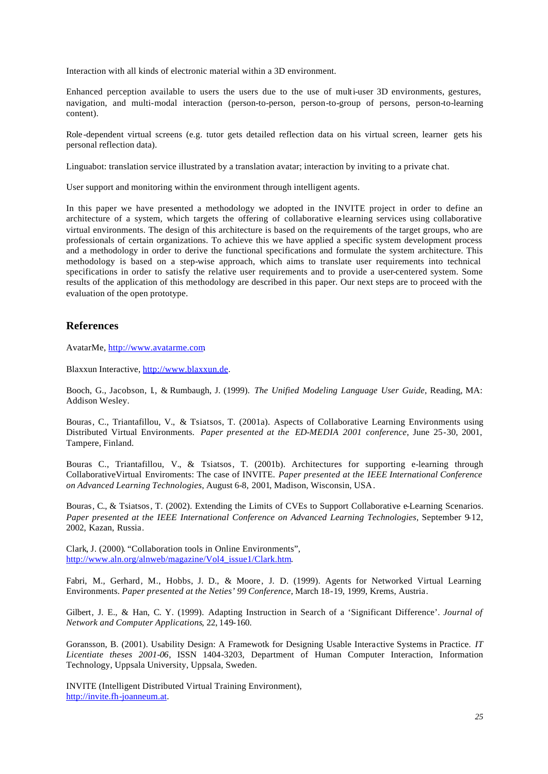Interaction with all kinds of electronic material within a 3D environment.

Enhanced perception available to users the users due to the use of multi-user 3D environments, gestures, navigation, and multi-modal interaction (person-to-person, person-to-group of persons, person-to-learning content).

Role -dependent virtual screens (e.g. tutor gets detailed reflection data on his virtual screen, learner gets his personal reflection data).

Linguabot: translation service illustrated by a translation avatar; interaction by inviting to a private chat.

User support and monitoring within the environment through intelligent agents.

In this paper we have presented a methodology we adopted in the INVITE project in order to define an architecture of a system, which targets the offering of collaborative elearning services using collaborative virtual environments. The design of this architecture is based on the requirements of the target groups, who are professionals of certain organizations. To achieve this we have applied a specific system development process and a methodology in order to derive the functional specifications and formulate the system architecture. This methodology is based on a step-wise approach, which aims to translate user requirements into technical specifications in order to satisfy the relative user requirements and to provide a user-centered system. Some results of the application of this methodology are described in this paper. Our next steps are to proceed with the evaluation of the open prototype.

## **References**

AvatarMe, http://www.avatarme.com.

Blaxxun Interactive, http://www.blaxxun.de.

Booch, G., Jacobson, I., & Rumbaugh, J. (1999). *The Unified Modeling Language User Guide*, Reading, MA: Addison Wesley.

Bouras, C., Triantafillou, V., & Tsiatsos, T. (2001a). Aspects of Collaborative Learning Environments using Distributed Virtual Environments. *Paper presented at the ED-MEDIA 2001 conference*, June 25-30, 2001, Tampere, Finland.

Bouras C., Triantafillou, V., & Tsiatsos, T. (2001b). Architectures for supporting e-learning through CollaborativeVirtual Enviroments: The case of INVITE. *Paper presented at the IEEE International Conference on Advanced Learning Technologies*, August 6-8, 2001, Madison, Wisconsin, USA.

Bouras, C., & Tsiatsos, T. (2002). Extending the Limits of CVEs to Support Collaborative e-Learning Scenarios. *Paper presented at the IEEE International Conference on Advanced Learning Technologies*, September 9-12, 2002, Kazan, Russia.

Clark, J. (2000). "Collaboration tools in Online Environments", http://www.aln.org/alnweb/magazine/Vol4\_issue1/Clark.htm.

Fabri, M., Gerhard, M., Hobbs, J. D., & Moore, J. D. (1999). Agents for Networked Virtual Learning Environments. *Paper presented at the Neties' 99 Conference*, March 18-19, 1999, Krems, Austria.

Gilbert, J. E., & Han, C. Y. (1999). Adapting Instruction in Search of a 'Significant Difference'. *Journal of Network and Computer Applications*, 22, 149-160.

Goransson, B. (2001). Usability Design: A Framewotk for Designing Usable Interactive Systems in Practice. *IT Licentiate theses 2001-06*, ISSN 1404-3203, Department of Human Computer Interaction, Information Technology, Uppsala University, Uppsala, Sweden.

INVITE (Intelligent Distributed Virtual Training Environment), http://invite.fh-joanneum.at.